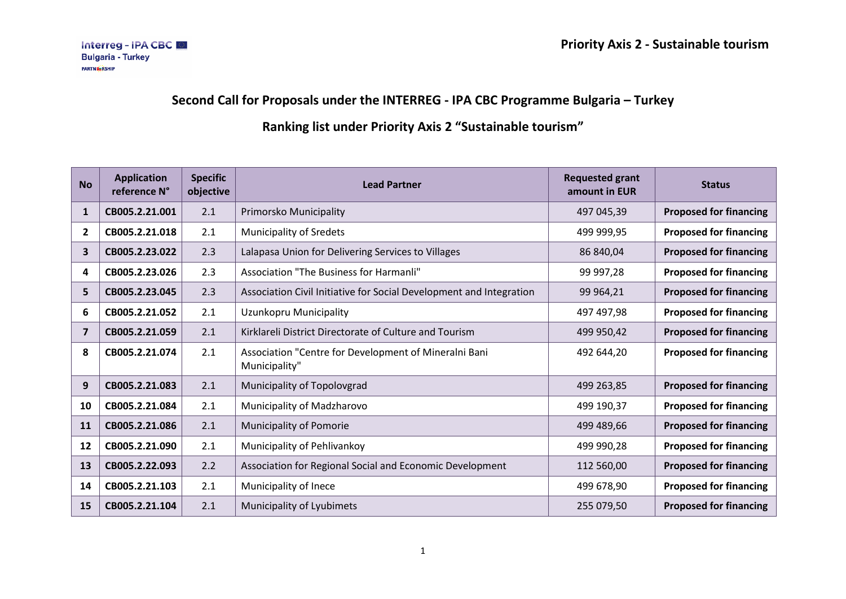## **Second Call for Proposals under the INTERREG - IPA CBC Programme Bulgaria – Turkey**

## **Ranking list under Priority Axis 2 "Sustainable tourism"**

| <b>No</b>    | <b>Application</b><br>reference N° | <b>Specific</b><br>objective | <b>Lead Partner</b>                                                    | <b>Requested grant</b><br>amount in EUR | <b>Status</b>                 |
|--------------|------------------------------------|------------------------------|------------------------------------------------------------------------|-----------------------------------------|-------------------------------|
| 1            | CB005.2.21.001                     | 2.1                          | Primorsko Municipality                                                 | 497 045,39                              | <b>Proposed for financing</b> |
| $\mathbf{2}$ | CB005.2.21.018                     | 2.1                          | <b>Municipality of Sredets</b>                                         | 499 999,95                              | <b>Proposed for financing</b> |
| 3            | CB005.2.23.022                     | 2.3                          | Lalapasa Union for Delivering Services to Villages                     | 86 840,04                               | <b>Proposed for financing</b> |
| 4            | CB005.2.23.026                     | 2.3                          | Association "The Business for Harmanli"                                | 99 997,28                               | <b>Proposed for financing</b> |
| 5            | CB005.2.23.045                     | 2.3                          | Association Civil Initiative for Social Development and Integration    | 99 964,21                               | <b>Proposed for financing</b> |
| 6            | CB005.2.21.052                     | 2.1                          | Uzunkopru Municipality                                                 | 497 497,98                              | <b>Proposed for financing</b> |
| 7            | CB005.2.21.059                     | 2.1                          | Kirklareli District Directorate of Culture and Tourism                 | 499 950,42                              | <b>Proposed for financing</b> |
| 8            | CB005.2.21.074                     | 2.1                          | Association "Centre for Development of Mineralni Bani<br>Municipality" | 492 644,20                              | <b>Proposed for financing</b> |
| 9            | CB005.2.21.083                     | 2.1                          | Municipality of Topolovgrad                                            | 499 263,85                              | <b>Proposed for financing</b> |
| 10           | CB005.2.21.084                     | 2.1                          | Municipality of Madzharovo                                             | 499 190,37                              | <b>Proposed for financing</b> |
| <b>11</b>    | CB005.2.21.086                     | 2.1                          | Municipality of Pomorie                                                | 499 489,66                              | <b>Proposed for financing</b> |
| 12           | CB005.2.21.090                     | 2.1                          | Municipality of Pehlivankoy                                            | 499 990,28                              | <b>Proposed for financing</b> |
| 13           | CB005.2.22.093                     | 2.2                          | Association for Regional Social and Economic Development               | 112 560,00                              | <b>Proposed for financing</b> |
| 14           | CB005.2.21.103                     | 2.1                          | Municipality of Inece                                                  | 499 678,90                              | <b>Proposed for financing</b> |
| 15           | CB005.2.21.104                     | 2.1                          | Municipality of Lyubimets                                              | 255 079,50                              | <b>Proposed for financing</b> |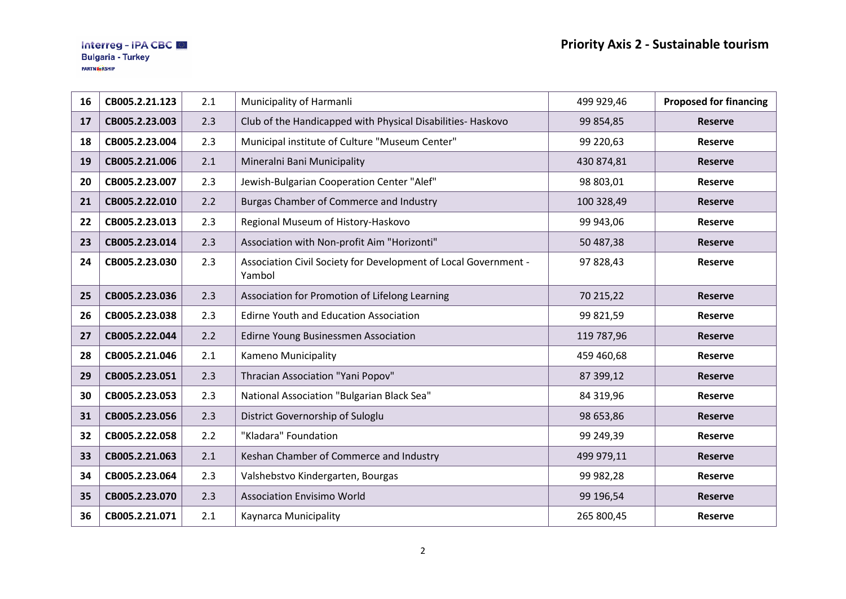| 16 | CB005.2.21.123 | 2.1 | Municipality of Harmanli                                                  | 499 929,46 | <b>Proposed for financing</b> |
|----|----------------|-----|---------------------------------------------------------------------------|------------|-------------------------------|
| 17 | CB005.2.23.003 | 2.3 | Club of the Handicapped with Physical Disabilities- Haskovo               | 99 854,85  | <b>Reserve</b>                |
| 18 | CB005.2.23.004 | 2.3 | Municipal institute of Culture "Museum Center"                            | 99 220,63  | <b>Reserve</b>                |
| 19 | CB005.2.21.006 | 2.1 | Mineralni Bani Municipality                                               | 430 874,81 | <b>Reserve</b>                |
| 20 | CB005.2.23.007 | 2.3 | Jewish-Bulgarian Cooperation Center "Alef"                                | 98 803,01  | <b>Reserve</b>                |
| 21 | CB005.2.22.010 | 2.2 | <b>Burgas Chamber of Commerce and Industry</b>                            | 100 328,49 | <b>Reserve</b>                |
| 22 | CB005.2.23.013 | 2.3 | Regional Museum of History-Haskovo                                        | 99 943,06  | <b>Reserve</b>                |
| 23 | CB005.2.23.014 | 2.3 | Association with Non-profit Aim "Horizonti"                               | 50 487,38  | <b>Reserve</b>                |
| 24 | CB005.2.23.030 | 2.3 | Association Civil Society for Development of Local Government -<br>Yambol | 97 828,43  | <b>Reserve</b>                |
| 25 | CB005.2.23.036 | 2.3 | Association for Promotion of Lifelong Learning                            | 70 215,22  | <b>Reserve</b>                |
| 26 | CB005.2.23.038 | 2.3 | Edirne Youth and Education Association                                    | 99 821,59  | <b>Reserve</b>                |
| 27 | CB005.2.22.044 | 2.2 | Edirne Young Businessmen Association                                      | 119 787,96 | <b>Reserve</b>                |
| 28 | CB005.2.21.046 | 2.1 | Kameno Municipality                                                       | 459 460,68 | <b>Reserve</b>                |
| 29 | CB005.2.23.051 | 2.3 | Thracian Association "Yani Popov"                                         | 87 399,12  | <b>Reserve</b>                |
| 30 | CB005.2.23.053 | 2.3 | National Association "Bulgarian Black Sea"                                | 84 319,96  | <b>Reserve</b>                |
| 31 | CB005.2.23.056 | 2.3 | District Governorship of Suloglu                                          | 98 653,86  | <b>Reserve</b>                |
| 32 | CB005.2.22.058 | 2.2 | "Kladara" Foundation                                                      | 99 249,39  | <b>Reserve</b>                |
| 33 | CB005.2.21.063 | 2.1 | Keshan Chamber of Commerce and Industry                                   | 499 979,11 | <b>Reserve</b>                |
| 34 | CB005.2.23.064 | 2.3 | Valshebstvo Kindergarten, Bourgas                                         | 99 982,28  | <b>Reserve</b>                |
| 35 | CB005.2.23.070 | 2.3 | <b>Association Envisimo World</b>                                         | 99 196,54  | <b>Reserve</b>                |
| 36 | CB005.2.21.071 | 2.1 | Kaynarca Municipality                                                     | 265 800,45 | Reserve                       |